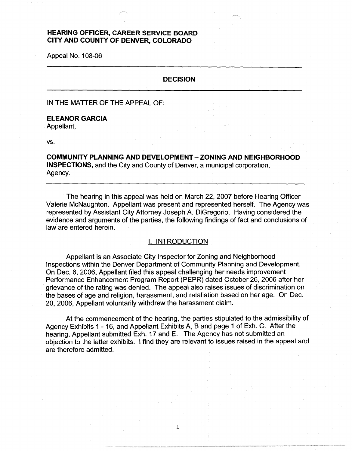# **HEARING OFFICER, CAREER SERVICE BOARD CITY AND COUNTY OF DENVER, COLORADO**

Appeal No. 108-06

## **DECISION**

IN THE MATTER OF THE APPEAL OF:

# **ELEANOR GARCIA**

Appellant,

vs.

**COMMUNITY PLANNING AND DEVELOPMENT** - **ZONING AND NEIGHBORHOOD INSPECTIONS,** and the City and County of Denver, a municipal corporation, Agency.

The hearing in this appeal was held on March 22, 2007 before Hearing Officer Valerie McNaughton. Appellant was present and represented herself. The Agency was represented by Assistant City Attorney Joseph A. DiGregorio. Having considered the evidence and arguments of the parties, the following findings of fact and conclusions of law are entered herein.

#### I. INTRODUCTION

Appellant is an Associate City Inspector for Zoning and Neighborhood Inspections within the Denver Department of Community Planning and Development. On Dec. 6, 2006, Appellant filed this appeal challenging her needs improvement Performance Enhancement Program Report (PEPR) dated October 26, 2006 after her grievance of the rating was denied. The appeal also raises issues of discrimination on the bases of age and religion, harassment, and retaliation based on her age. On Dec. 20, 2006, Appellant voluntarily withdrew the harassment claim.

At the commencement of the hearing, the parties stipulated to the admissibility of Agency Exhibits 1 - 16, and Appellant Exhibits A, B and page 1 of Exh. C. After the hearing, Appellant submitted Exh. 17 and E. The Agency has not submitted an objection to the latter exhibits. I find they are relevant to issues raised in the appeal and are therefore admitted.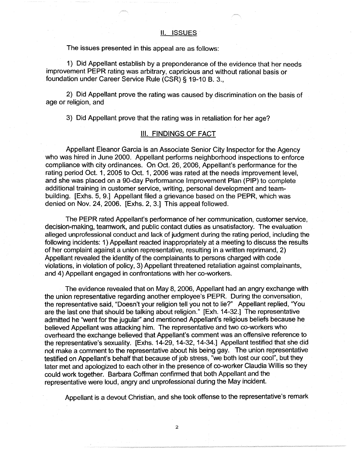The issues presented in this appeal are as follows:

1) Did Appellant establish by a preponderance of the evidence that her needs improvement PEPR rating was arbitrary, capricious and without rational basis or foundation under Career Service Rule (CSR)§ 19-10 B. 3.,

2) Did Appellant prove the rating was caused by discrimination on the basis of age or religion, and

3) Did Appellant prove that the rating was in retaliation for her age?

# Ill. FINDINGS OF FACT

Appellant Eleanor Garcia is an Associate Senior City Inspector for the Agency who was hired in June 2000. Appellant performs neighborhood inspections to enforce compliance with city ordinances. On Oct. 26, 2006, Appellant's performance for the rating period Oct. 1, 2005 to Oct. 1, 2006 was rated at the needs improvement level, and she was placed on a 90-day Performance Improvement Plan (PIP) to complete additional training in customer service, writing, personal development and teambuilding. [Exhs. 5, 9.] Appellant filed a grievance based on the PEPR, which was denied on Nov. 24, 2006. [Exhs. 2, 3.] This appeal followed.

The PEPR rated Appellant's performance of her communication, customer service, decision-making, teamwork, and public contact duties as unsatisfactory. The evaluation alleged unprofessional conduct and lack of judgment during the rating period, including the following incidents: 1) Appellant reacted inappropriately at a meeting to discuss the results of her complaint against a union representative, resulting in a written reprimand, 2) Appellant revealed the identity of the complainants to persons charged with code violations, in violation of policy, 3) Appellant threatened retaliation against complainants, and 4) Appellant engaged in confrontations with her co-workers.

The evidence revealed that on May 8, 2006, Appellant had an angry exchange with the union representative regarding another employee's PEPR. During the conversation, the representative said, "Doesn't your religion tell you not to lie?" Appellant replied, "You are the last one that should be talking about religion." [Exh. 14-32.] The representative admitted he ''went for the jugular" and mentioned Appellant's religious beliefs because he believed Appellant was attacking him. The representative and two co-workers who overheard the exchange believed that Appellant's comment was an offensive reference to the representative's sexuality. [Exhs. 14-29, 14-32, 14-34.] Appellant testified that she did not make a comment to the representative about his being gay. The union representative testified on Appellant's behalf that because of job stress, "we both lost our cool", but they later met and apologized to each other in the presence of co-worker Claudia Willis so they could work together. Barbara Coffman confirmed that both Appellant and the representative were loud, angry and unprofessional during the May incident.

Appellant is a devout Christian, and she took offense to the representative's remark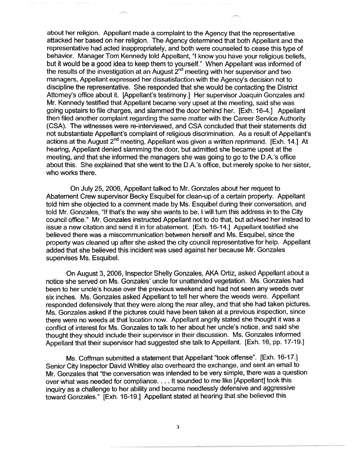about her religion. Appellant made a complaint to the Agency that the representative attacked her based on her religion. The Agency determined that both Appellant and the representative had acted inappropriately, and both were counseled to cease this type of behavior. Manager Tom Kennedy told Appellant, "I know you have your religious beliefs, but it would be a good idea to keep them to yourself." When Appellant was informed of the results of the investigation at an August  $2<sup>nd</sup>$  meeting with her supervisor and two managers, Appellant expressed her dissatisfaction with the Agency's decision not to discipline the representative. She responded that she would be contacting the District Attorney's office about it. [Appellant's testimony.] Her supervisor Joaquin Gonzales and Mr. Kennedy testified that Appellant became very upset at the meeting, said she was going upstairs to file charges, and slammed the door behind her. [Exh. 16-4.] Appellant then filed another complaint regarding the same matter with the Career Service Authority (CSA). The witnesses were re-interviewed, and CSA concluded that their statements did not substantiate Appellant's complaint of religious discrimination. As a result of Appellant's actions at the August  $2^{nd}$  meeting, Appellant was given a written reprimand. [Exh. 14.] At hearing, Appellant denied slamming the door, but admitted she became upset at the meeting, and that she informed the managers she was going to go to the D.A.'s office about this. She explained that she went to the D.A.'s office, but merely spoke to her sister, who works there.

On July 25, 2006, Appellant talked to Mr. Gonzales about her request to Abatement Crew supervisor Becky Esquibel for clean-up of a certain property. Appellant told him she objected to a comment made by Ms. Esquibel during their conversation, and told Mr. Gonzales, "If that's the way she wants to be, I will tum this address in to the City council office." Mr. Gonzales instructed Appellant not to do that, but advised her instead to issue a new citation and send it in for abatement. [Exh. 16-14.] Appellant testified she believed there was a miscommunication between herself and Ms. Esquibel, since the property was cleaned up after she asked the city council representative for help. Appellant added that she believed this incident was used against her because Mr. Gonzales supervises Ms. Esquibel.

On August 3, 2006, Inspector Shelly Gonzales, AKA Ortiz, asked Appellant about a notice she served on Ms. Gonzales' uncle for unattended vegetation. Ms. Gonzales had been to her uncle's house over the previous weekend and had not seen any weeds over six inches. Ms. Gonzales asked Appellant to tell her where the weeds were. Appellant responded defensively that they were along the rear alley, and that she had taken pictures. Ms. Gonzales asked if the pictures could have been taken at a previous inspection, since there were no weeds at that location now. Appellant angrily stated she thought it was a conflict of interest for Ms. Gonzales to talk to her about her uncle's notice, and said she thought they should include their supervisor in their discussion. Ms. Gonzales informed Appellant that their supervisor had suggested she talk to Appellant. [Exh. 16, pp. 17-19.]

Ms. Coffman submitted a statement that Appellant "took offense". [Exh. 16-17.] Senior City Inspector David Whitley also overheard the exchange, and sent an email to Mr. Gonzales that "the conversation was intended to be very simple, there was a question over what was needed for compliance .... It sounded to me like [Appellant] took this inquiry as a challenge to her ability and became needlessly defensive and aggressive toward Gonzales." [Exh. 16-19.] Appellant stated at hearing that she believed this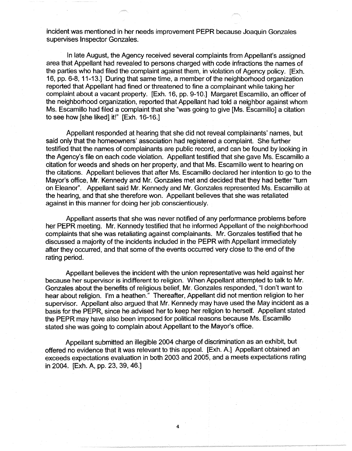incident was mentioned in her needs improvement PEPR because Joaquin Gonzales supervises Inspector Gonzales.

In late August, the Agency received several complaints from Appellant's assigned area that Appellant had revealed to persons charged with code infractions the names of the parties who had filed the complaint against them, in violation of Agency policy. [Exh. 16, pp. 6-8, 11-13.] During that same time, a member of the neighborhood organization reported that Appellant had fined or threatened to fine a complainant while taking her complaint about a vacant property. [Exh. 16, pp. 9-10.] Margaret Escamillo, an officer of the neighborhood organization, reported that Appellant had told a neighbor against whom Ms. Escamillo had filed a complaint that she "was going to give [Ms. Escamillo] a citation to see how [she liked] it!" [Exh. 16-16.]

Appellant responded at hearing that she did not reveal complainants' names, but said only that the homeowners' association had registered a complaint. She further testified that the names of complainants are public record, and can be found by looking in the Agency's file on each code violation. Appellant testified that she gave Ms. Escamillo a citation for weeds and sheds on her property, and that Ms. Escamilla went to hearing on the citations. Appellant believes that after Ms. Escamillo declared her intention to go to the Mayor's office, Mr. Kennedy and Mr. Gonzales met and decided that they had better "turn on Eleanor". Appellant said Mr. Kennedy and Mr. Gonzales represented Ms. Escamilla at the hearing, and that she therefore won. Appellant believes that she was retaliated against in this manner for doing her job conscientiously.

Appellant asserts that she was never notified of any performance problems before her PEPR meeting. Mr. Kennedy testified that he informed Appellant of the neighborhood complaints that she was retaliating against complainants. Mr. Gonzales testified that he discussed a majority of the incidents included in the PEPR with Appellant immediately after they occurred, and that some of the events occurred very close to the end of the rating period.

Appellant believes the incident with the union representative was held against her because her supervisor is indifferent to religion. When Appellant attempted to talk to Mr. Gonzales about the benefits of religious belief, Mr. Gonzales responded, "I don't want to hear about religion. I'm a heathen." Thereafter, Appellant did not mention religion to her supervisor. Appellant also argued that Mr. Kennedy may have used the May incident as a basis for the PEPR, since he advised her to keep her religion to herself. Appellant stated the PEPR may have also been imposed for political reasons because Ms. Escamillo stated she was going to complain about Appellant to the Mayor's office.

Appellant submitted an illegible 2004 charge of discrimination as an exhibit, but offered no evidence that it was relevant to this appeal. [Exh. A.] Appellant obtained an exceeds expectations evaluation in both 2003 and 2005, and a meets expectations rating in 2004. [Exh. A, pp. 23, 39, 46.]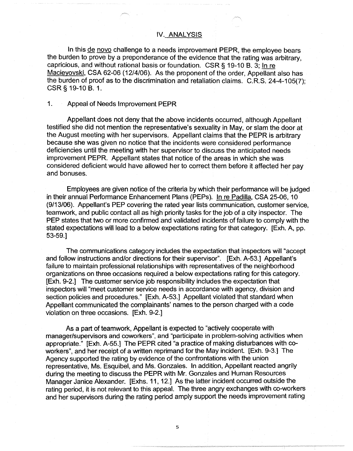#### **IV. ANALYSIS**

In this de novo challenge to a needs improvement PEPR, the employee bears the burden to prove by a preponderance of the evidence that the rating was arbitrary, capricious, and without rational basis or foundation. CSR § 19-10 B. 3; In re Macieyovski, CSA 62-06 (12/4/06). As the proponent of the order, Appellant also has the burden of proof as to the discrimination and retaliation claims. C.R.S. 24-4-105(7); CSR§ 19-10 B. 1.

### 1. Appeal of Needs Improvement PEPR

Appellant does not deny that the above incidents occurred, although Appellant testified she did not mention the representative's sexuality in May, or slam the door at the August meeting with her supervisors. Appellant claims that the PEPR is arbitrary because she was given no notice that the incidents were considered performance deficiencies until the meeting with her supervisor to discuss the anticipated needs improvement PEPR. Appellant states that notice of the areas in which she was considered deficient would have allowed her to correct them before it affected her pay and bonuses.

Employees are given notice of the criteria by which their performance will be judged in their annual Performance Enhancement Plans (PEPs). In re Padilla, CSA 25-06, 10 (9/13/06). Appellant's PEP covering the rated year lists communication, customer service, teamwork, and public contact all as high priority tasks for the job of a city inspector. The PEP states that two or more confirmed and validated incidents of failure to comply with the stated expectations will lead to a below expectations rating for that category. [Exh. A, pp. 53-59.]

The communications category includes the expectation that inspectors will "accept and follow instructions and/or directions for their supervisor". [Exh. A-53.] Appellant's failure to maintain professional relationships with representatives of the neighborhood organizations on three occasions required a below expectations rating for this category. [Exh. 9-2.] The customer service job responsibility includes the expectation that inspectors will "meet customer service needs in accordance with agency, division and section policies and procedures." [Exh. A-53.] Appellant violated that standard when Appellant communicated the complainants' names to the person charged with a code violation on three occasions. [Exh. 9-2.]

As a part of teamwork, Appellant is expected to "actively cooperate with manager/supervisors and coworkers", and "participate in problem-solving activities when appropriate." [Exh. A-55.] The PEPR cited "a practice of making disturbances with coworkers", and her receipt of a written reprimand for the May incident. [Exh. 9-3.] The Agency supported the rating by evidence of the confrontations with the union representative, Ms. Esquibel, and Ms. Gonzales. In addition, Appellant reacted angrily during the meeting to discuss the PEPR with Mr. Gonzales and Human Resources Manager Janice Alexander. [Exhs. 11, 12.] As the latter incident occurred outside the rating period, it is not relevant to this appeal. The three angry exchanges with co-workers and her supervisors during the rating period amply support the needs improvement rating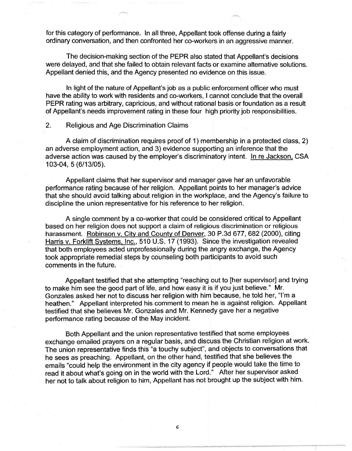for this category of performance. In all three, Appellant took offense during a fairly ordinary conversation, and then confronted her co-workers in an aggressive manner.

The decision-making section of the PEPR also stated that Appellant's decisions were delayed, and that she failed to obtain relevant facts or examine alternative solutions. Appellant denied this, and the Agency presented no evidence on this issue.

In light of the nature of Appellant's job as a public enforcement officer who must have the ability to work with residents and co-workers, I cannot conclude that the overall PEPR rating was arbitrary, capricious, and without rational basis or foundation as a result of Appellant's needs improvement rating in these four high priority job responsibilities.

# 2. Religious and Age Discrimination Claims

A claim of discrimination requires proof of 1) membership in a protected class, 2) an adverse employment action, and 3) evidence supporting an inference that the adverse action was caused by the employer's discriminatory intent. In re Jackson, CSA 103-04, 5 (6/13/05).

Appellant claims that her supervisor and manager gave her an unfavorable performance rating because of her religion. Appellant points to her manager's advice that she should avoid talking about religion in the workplace, and the Agency's failure to discipline the union representative for his reference to her religion.

A single comment by a co-worker that could be considered critical to Appellant based on her religion does not support a claim of religious discrimination or religious harassment. Robinson v. City and County of Denver, 30 P.3d 677, 682 (2000), citing Harris v. Forklift Systems, Inc., 510 U.S. 17 (1993). Since the investigation revealed that both employees acted unprofessionally during the angry exchange, the Agency took appropriate remedial steps by counseling both participants to avoid such comments in the future.

Appellant testified that she attempting "reaching out to [her supervisor] and trying to make him see the good part of life, and how easy it is if you just believe." Mr. Gonzales asked her not to discuss her religion with him because, he told her, ''I'm a heathen." Appellant interpreted his comment to mean he is against religion. Appellant testified that she believes Mr. Gonzales and Mr. Kennedy gave her a negative performance rating because of the May incident.

Both Appellant and the union representative testified that some employees exchange emailed prayers on a regular basis, and discuss the Christian religion at work. The union representative finds this "a touchy subject", and objects to conversations that he sees as preaching. Appellant, on the other hand, testified that she believes the emails "could help the environment in the city agency if people would take the time to read it about what's going on in the world with the Lord." After her supervisor asked her not to talk about religion to him, Appellant has not brought up the subject with him.